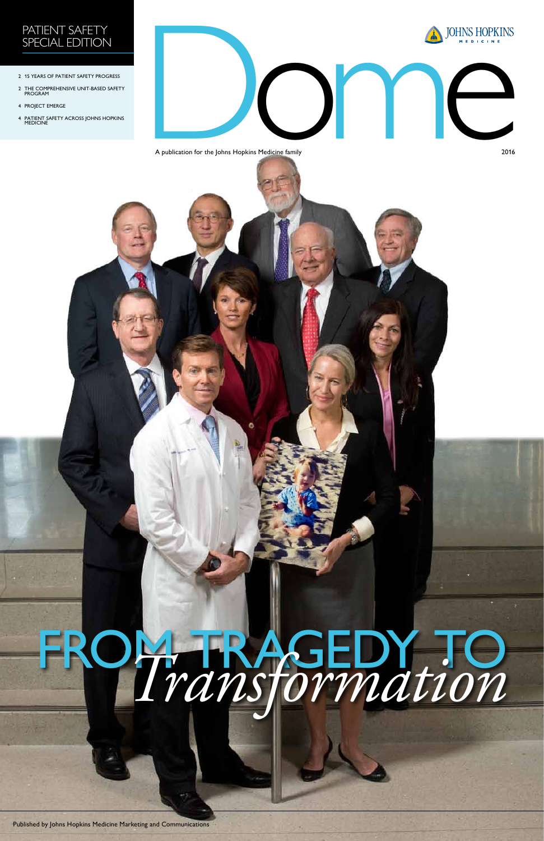





- 2 15 YEARS OF PATIENT SAFETY PROGRESS
- 2 THE COMPREHENSIVE UNIT-BASED SAFETY PROGRAM
- 4 PROJECT EMERGE
- 4 PATIENT SAFETY ACROSS JOHNS HOPKINS MEDICINE

A publication for the Johns Hopkins Medicine family 2016



Published by Johns Hopkins Medicine Marketing and Communications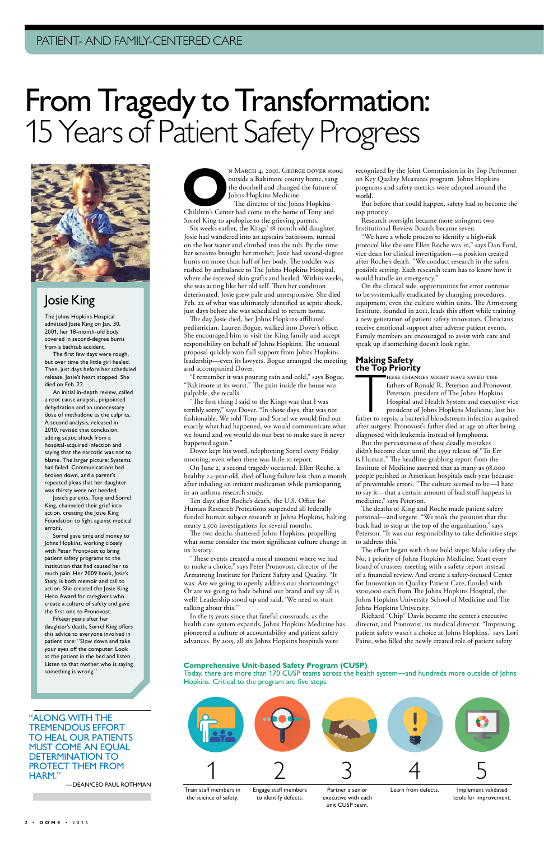**OPER STAN MARCH 4, 2001, GEORGE DOVER stood**<br>
outside a Baltimore county home, rang<br>
the doorbell and changed the future of<br>
Johns Hopkins Medicine.<br>
The director of the Johns Hopkins<br>
Children's Center had come to the ho outside a Baltimore county home, rang the doorbell and changed the future of Johns Hopkins Medicine. The director of the Johns Hopkins

Sorrel King to apologize to the grieving parents.

Six weeks earlier, the Kings' 18-month-old daughter Josie had wandered into an upstairs bathroom, turned on the hot water and climbed into the tub. By the time her screams brought her mother, Josie had second-degree burns on more than half of her body. The toddler was rushed by ambulance to The Johns Hopkins Hospital, where she received skin grafts and healed. Within weeks, she was acting like her old self. Then her condition deteriorated. Josie grew pale and unresponsive. She died Feb. 22 of what was ultimately identified as septic shock, just days before she was scheduled to return home.

The day Josie died, her Johns Hopkins-affiliated pediatrician, Lauren Bogue, walked into Dover's office. She encouraged him to visit the King family and accept responsibility on behalf of Johns Hopkins. The unusual proposal quickly won full support from Johns Hopkins leadership—even its lawyers. Bogue arranged the meeting and accompanied Dover.

"I remember it was pouring rain and cold," says Bogue. "Baltimore at its worst." The pain inside the house was palpable, she recalls.

"The first thing I said to the Kings was that I was terribly sorry," says Dover. "In those days, that was not fashionable. We told Tony and Sorrel we would find out exactly what had happened, we would communicate what we found and we would do our best to make sure it never happened again."

Dover kept his word, telephoning Sorrel every Friday morning, even when there was little to report.

On June 2, a second tragedy occurred. Ellen Roche, a healthy 24-year-old, died of lung failure less than a month after inhaling an irritant medication while participating in an asthma research study.

Ten days after Roche's death, the U.S. Office for Human Research Protections suspended all federally funded human subject research at Johns Hopkins, halting nearly 2,500 investigations for several months.

THESE CHANGES MIGHT HAVE SAVED THE<br>fathers of Ronald R. Peterson and Pronovost.<br>Peterson, president of The Johns Hopkins<br>Hospital and Health System and executive vice<br>president of Johns Hopkins Medicine, lost his<br>father to hese changes might have saved the fathers of Ronald R. Peterson and Pronovost. Peterson, president of The Johns Hopkins Hospital and Health System and executive vice president of Johns Hopkins Medicine, lost his

The two deaths shattered Johns Hopkins, propelling what some consider the most significant culture change in its history.

"These events created a moral moment where we had to make a choice," says Peter Pronovost, director of the Armstrong Institute for Patient Safety and Quality. "It was: Are we going to openly address our shortcomings? Or are we going to hide behind our brand and say all is well? Leadership stood up and said, 'We need to start talking about this.'"

In the 15 years since that fateful crossroads, as the

health care system expands, Johns Hopkins Medicine has pioneered a culture of accountability and patient safety advances. By 2015, all six Johns Hopkins hospitals were

recognized by the Joint Commission in its Top Performer on Key Quality Measures program. Johns Hopkins programs and safety metrics were adopted around the world.

But before that could happen, safety had to become the top priority.

Research oversight became more stringent; two Institutional Review Boards became seven.

"We have a whole process to identify a high-risk protocol like the one Ellen Roche was in," says Dan Ford, vice dean for clinical investigation—a position created after Roche's death. "We conduct research in the safest possible setting. Each research team has to know how it would handle an emergency."

On the clinical side, opportunities for error continue to be systemically eradicated by changing procedures, equipment, even the culture within units. The Armstrong Institute, founded in 2011, leads this effort while training a new generation of patient safety innovators. Clinicians receive emotional support after adverse patient events. Family members are encouraged to assist with care and speak up if something doesn't look right.

"Along with the tremendous effort to heal our patients must come an equal DETERMINATION TO protect them from HARM."

### **Making Safety the Top Priority**

after surgery. Pronovost's father died at age 50 after being diagnosed with leukemia instead of lymphoma.

But the pervasiveness of these deadly mistakes didn't become clear until the 1999 release of "To Err is Human." The headline-grabbing report from the Institute of Medicine asserted that as many as 98,000 people perished in American hospitals each year because of preventable errors. "The culture seemed to be—I hate to say it—that a certain amount of bad stuff happens in medicine," says Peterson.

The deaths of King and Roche made patient safety personal—and urgent. "We took the position that the buck had to stop at the top of the organization," says Peterson. "It was our responsibility to take definitive steps to address this."

The effort began with three bold steps: Make safety the No. 1 priority of Johns Hopkins Medicine. Start every board of trustees meeting with a safety report instead of a financial review. And create a safety-focused Center for Innovation in Quality Patient Care, funded with \$500,000 each from The Johns Hopkins Hospital, the Johns Hopkins University School of Medicine and The Johns Hopkins University.

Richard "Chip" Davis became the center's executive director, and Pronovost, its medical director. "Improving patient safety wasn't a choice at Johns Hopkins," says Lori Paine, who filled the newly created role of patient safety

#### **Comprehensive Unit-based Safety Program (CUSP)**

Today, there are more than 170 CUSP teams across the health system—and hundreds more outside of Johns Hopkins. Critical to the program are five steps:

### Josie King

The Johns Hopkins Hospital admitted Josie King on Jan. 30, 2001, her 18-month-old body covered in second-degree burns from a bathtub accident.

The first few days were rough, but over time the little girl healed. Then, just days before her scheduled release, Josie's heart stopped. She died on Feb. 22.

An initial in-depth review, called a root cause analysis, pinpointed dehydration and an unnecessary dose of methadone as the culprits. A second analysis, released in 2010, revised that conclusion, adding septic shock from a hospital-acquired infection and saying that the narcotic was not to blame. The larger picture: Systems had failed. Communications had broken down, and a parent's repeated pleas that her daughter was thirsty were not heeded.

Josie's parents, Tony and Sorrel King, channeled their grief into action, creating the Josie King Foundation to fight against medical errors.

Sorrel gave time and money to Johns Hopkins, working closely with Peter Pronovost to bring patient safety programs to the institution that had caused her so much pain. Her 2009 book, *Josie's Story*, is both memoir and call to action. She created the Josie King Hero Award for caregivers who create a culture of safety and gave the first one to Pronovost. Fifteen years after her daughter's death, Sorrel King offers this advice to everyone involved in patient care: "Slow down and take your eyes off the computer. Look at the patient in the bed and listen. Listen to that mother who is saying something is wrong."



# From Tragedy to Transformation: 15 Years of Patient Safety Progress



—Dean/ceo Paul Rothman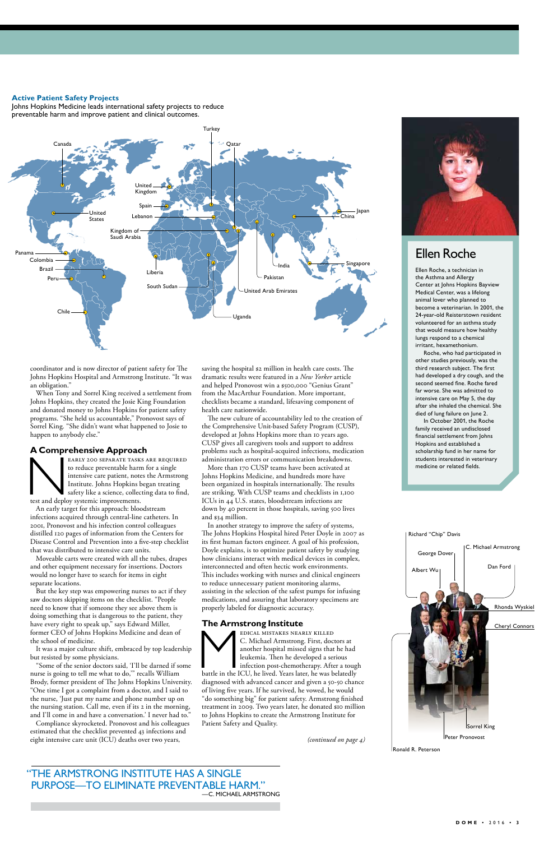### Ellen Roche

Ellen Roche, a technician in the Asthma and Allergy Center at Johns Hopkins Bayview Medical Center, was a lifelong animal lover who planned to become a veterinarian. In 2001, the 24-year-old Reisterstown resident volunteered for an asthma study that would measure how healthy lungs respond to a chemical irritant, hexamethonium.

Roche, who had participated in other studies previously, was the third research subject. The first had developed a dry cough, and the second seemed fine. Roche fared far worse. She was admitted to intensive care on May 5, the day after she inhaled the chemical. She died of lung failure on June 2.

In October 2001, the Roche family received an undisclosed financial settlement from Johns Hopkins and established a scholarship fund in her name for students interested in veterinary medicine or related fields.

EARLY 200 SEPARATE TASKS ARE REQUIRED<br>to reduce preventable harm for a single<br>intensive care patient, notes the Armstrong<br>Institute. Johns Hopkins began treating<br>safety like a science, collecting data to find,<br>test and dep to reduce preventable harm for a single intensive care patient, notes the Armstrong Institute. Johns Hopkins began treating safety like a science, collecting data to find, test and deploy systemic improvements.

coordinator and is now director of patient safety for The Johns Hopkins Hospital and Armstrong Institute. "It was an obligation."

When Tony and Sorrel King received a settlement from Johns Hopkins, they created the Josie King Foundation and donated money to Johns Hopkins for patient safety programs. "She held us accountable," Pronovost says of Sorrel King. "She didn't want what happened to Josie to happen to anybody else."

#### **A Comprehensive Approach**

An early target for this approach: bloodstream infections acquired through central-line catheters. In 2001, Pronovost and his infection control colleagues distilled 120 pages of information from the Centers for Disease Control and Prevention into a five-step checklist that was distributed to intensive care units.

Moveable carts were created with all the tubes, drapes and other equipment necessary for insertions. Doctors would no longer have to search for items in eight separate locations.

But the key step was empowering nurses to act if they saw doctors skipping items on the checklist. "People need to know that if someone they see above them is doing something that is dangerous to the patient, they have every right to speak up," says Edward Miller, former CEO of Johns Hopkins Medicine and dean of the school of medicine.

It was a major culture shift, embraced by top leadership but resisted by some physicians.

EDICAL MISTAKES NEARLY KILLED<br>
C. Michael Armstrong. First, doctors at<br>
another hospital missed signs that he had<br>
leukemia. Then he developed a serious<br>
infection post-chemotherapy. After a tough<br>
battle in the ICU, he li C. Michael Armstrong. First, doctors at another hospital missed signs that he had leukemia. Then he developed a serious infection post-chemotherapy. After a tough diagnosed with advanced cancer and given a 50-50 chance of living five years. If he survived, he vowed, he would "do something big" for patient safety. Armstrong finished treatment in 2009. Two years later, he donated \$10 million to Johns Hopkins to create the Armstrong Institute for Patient Safety and Quality.

"Some of the senior doctors said, 'I'll be darned if some nurse is going to tell me what to do,'" recalls William Brody, former president of The Johns Hopkins University. "One time I got a complaint from a doctor, and I said to the nurse, 'Just put my name and phone number up on the nursing station. Call me, even if its 2 in the morning, and I'll come in and have a conversation.' I never had to."

Compliance skyrocketed. Pronovost and his colleagues estimated that the checklist prevented 43 infections and eight intensive care unit (ICU) deaths over two years,

saving the hospital \$2 million in health care costs. The dramatic results were featured in a *New Yorker* article and helped Pronovost win a \$500,000 "Genius Grant" from the MacArthur Foundation. More important, checklists became a standard, lifesaving component of health care nationwide.

The new culture of accountability led to the creation of the Comprehensive Unit-based Safety Program (CUSP), developed at Johns Hopkins more than 10 years ago. CUSP gives all caregivers tools and support to address problems such as hospital-acquired infections, medication administration errors or communication breakdowns.

More than 170 CUSP teams have been activated at Johns Hopkins Medicine, and hundreds more have been organized in hospitals internationally. The results are striking. With CUSP teams and checklists in 1,100 ICUs in 44 U.S. states, bloodstream infections are down by 40 percent in those hospitals, saving 500 lives and \$34 million.

In another strategy to improve the safety of systems, The Johns Hopkins Hospital hired Peter Doyle in 2007 as its first human factors engineer. A goal of his profession, Doyle explains, is to optimize patient safety by studying how clinicians interact with medical devices in complex, interconnected and often hectic work environments. This includes working with nurses and clinical engineers to reduce unnecessary patient monitoring alarms, assisting in the selection of the safest pumps for infusing medications, and assuring that laboratory specimens are properly labeled for diagnostic accuracy.



#### **The Armstrong Institute**

*(continued on page 4)*

"The Armstrong Institute has a single purpose—to eliminate preventable harm." —C. Michael Armstrong



Ronald R. Peterson

### Rhonda Wyskiel Richard "Chip" Davis Albert Wu Dan Ford C. Michael Armstrong George Dover



#### **Active Patient Safety Projects**

Johns Hopkins Medicine leads international safety projects to reduce preventable harm and improve patient and clinical outcomes.